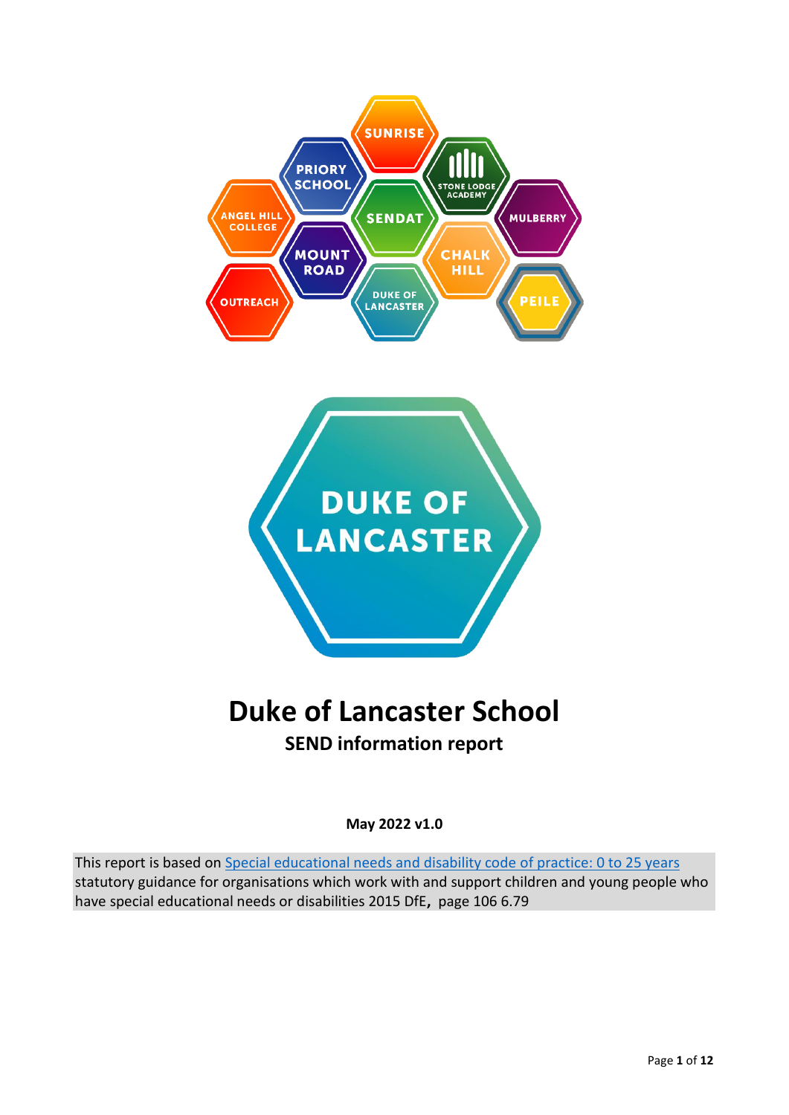



# **Duke of Lancaster School SEND information report**

**May 2022 v1.0**

This report is based on [Special educational needs and disability code of practice: 0 to 25 years](https://www.gov.uk/government/publications/send-code-of-practice-0-to-25) statutory guidance for organisations which work with and support children and young people who have special educational needs or disabilities 2015 DfE**,** page 106 6.79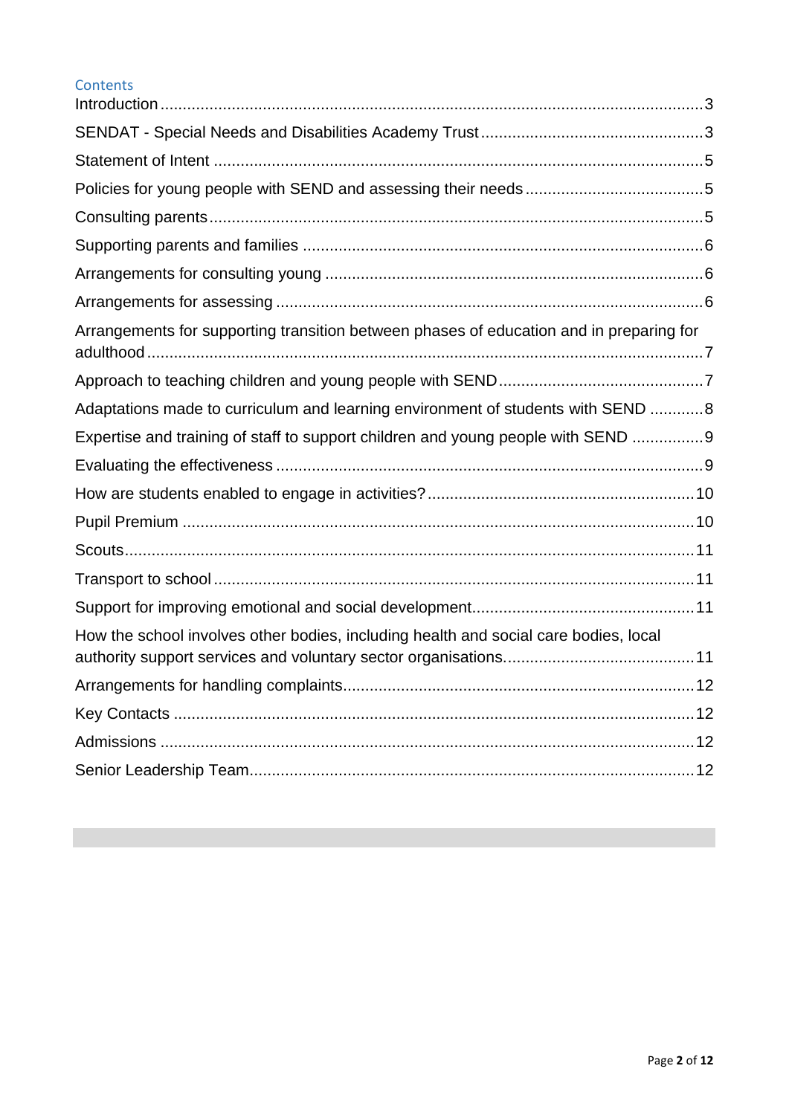| <b>Contents</b>                                                                         |  |
|-----------------------------------------------------------------------------------------|--|
|                                                                                         |  |
|                                                                                         |  |
|                                                                                         |  |
|                                                                                         |  |
|                                                                                         |  |
|                                                                                         |  |
|                                                                                         |  |
| Arrangements for supporting transition between phases of education and in preparing for |  |
|                                                                                         |  |
| Adaptations made to curriculum and learning environment of students with SEND 8         |  |
| Expertise and training of staff to support children and young people with SEND 9        |  |
|                                                                                         |  |
|                                                                                         |  |
|                                                                                         |  |
|                                                                                         |  |
|                                                                                         |  |
|                                                                                         |  |
| How the school involves other bodies, including health and social care bodies, local    |  |
|                                                                                         |  |
|                                                                                         |  |
|                                                                                         |  |
|                                                                                         |  |
|                                                                                         |  |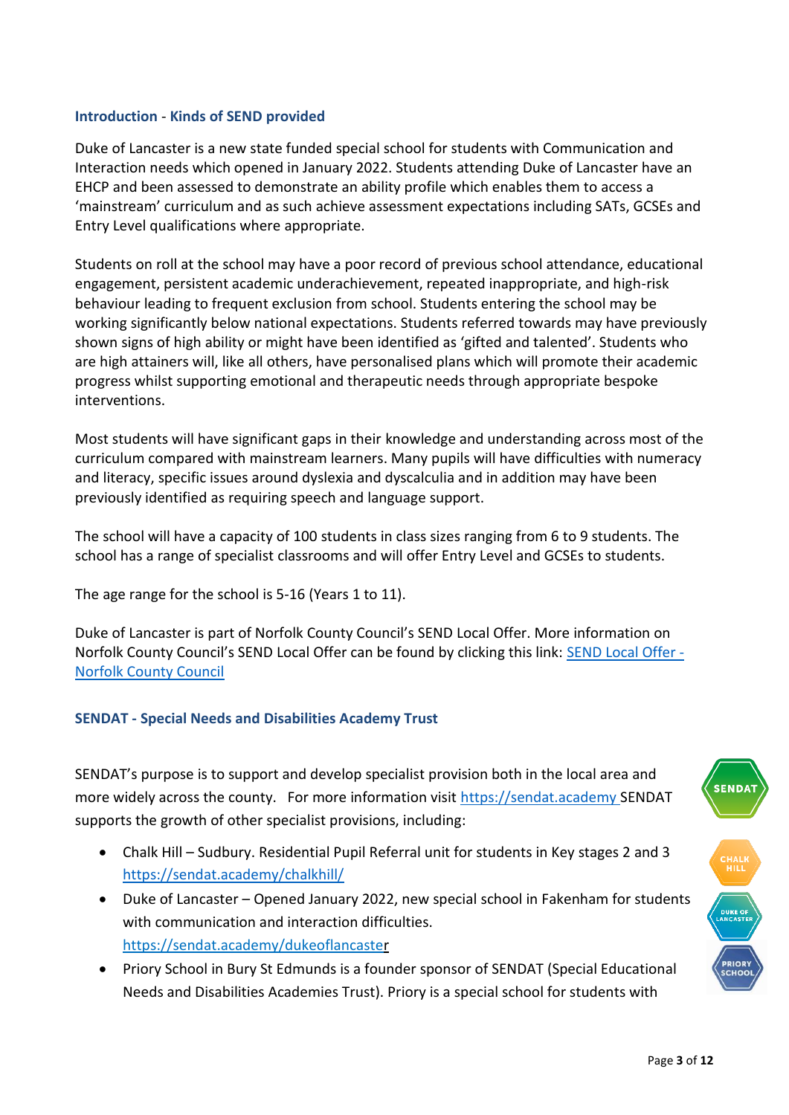#### <span id="page-2-0"></span>**Introduction** - **Kinds of SEND provided**

Duke of Lancaster is a new state funded special school for students with Communication and Interaction needs which opened in January 2022. Students attending Duke of Lancaster have an EHCP and been assessed to demonstrate an ability profile which enables them to access a 'mainstream' curriculum and as such achieve assessment expectations including SATs, GCSEs and Entry Level qualifications where appropriate.

Students on roll at the school may have a poor record of previous school attendance, educational engagement, persistent academic underachievement, repeated inappropriate, and high-risk behaviour leading to frequent exclusion from school. Students entering the school may be working significantly below national expectations. Students referred towards may have previously shown signs of high ability or might have been identified as 'gifted and talented'. Students who are high attainers will, like all others, have personalised plans which will promote their academic progress whilst supporting emotional and therapeutic needs through appropriate bespoke interventions.

Most students will have significant gaps in their knowledge and understanding across most of the curriculum compared with mainstream learners. Many pupils will have difficulties with numeracy and literacy, specific issues around dyslexia and dyscalculia and in addition may have been previously identified as requiring speech and language support.

The school will have a capacity of 100 students in class sizes ranging from 6 to 9 students. The school has a range of specialist classrooms and will offer Entry Level and GCSEs to students.

The age range for the school is 5-16 (Years 1 to 11).

Duke of Lancaster is part of Norfolk County Council's SEND Local Offer. More information on Norfolk County Council's SEND Local Offer can be found by clicking this link: [SEND Local Offer -](https://www.norfolk.gov.uk/children-and-families/send-local-offer) [Norfolk County Council](https://www.norfolk.gov.uk/children-and-families/send-local-offer)

#### <span id="page-2-1"></span>**SENDAT - Special Needs and Disabilities Academy Trust**

SENDAT's purpose is to support and develop specialist provision both in the local area and more widely across the county. For more information visit [https://sendat.academy](https://sendat.academy/) SENDAT supports the growth of other specialist provisions, including:

- Chalk Hill Sudbury. Residential Pupil Referral unit for students in Key stages 2 and 3 <https://sendat.academy/chalkhill/>
- Duke of Lancaster Opened January 2022, new special school in Fakenham for students with communication and interaction difficulties. <https://sendat.academy/dukeoflancaster>
- Priory School in Bury St Edmunds is a founder sponsor of SENDAT (Special Educational Needs and Disabilities Academies Trust). Priory is a special school for students with



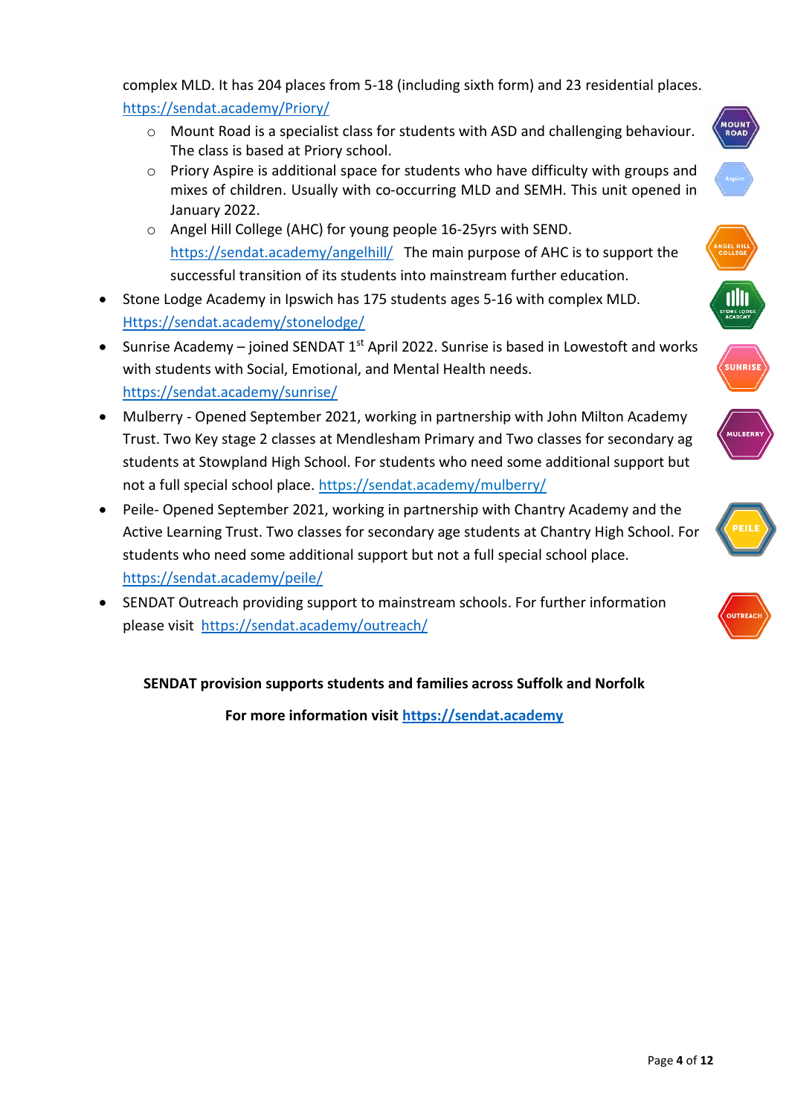complex MLD. It has 204 places from 5-18 (including sixth form) and 23 residential places. <https://sendat.academy/Priory/>

- o Mount Road is a specialist class for students with ASD and challenging behaviour. The class is based at Priory school.
- $\circ$  Priory Aspire is additional space for students who have difficulty with groups and mixes of children. Usually with co-occurring MLD and SEMH. This unit opened in January 2022.
- o Angel Hill College (AHC) for young people 16-25yrs with SEND. <https://sendat.academy/angelhill/>The main purpose of AHC is to support the successful transition of its students into mainstream further education.
- Stone Lodge Academy in Ipswich has 175 students ages 5-16 with complex MLD. [Https://sendat.academy/stonelodge/](https://sendat.academy/stonelodge/)
- Sunrise Academy joined SENDAT  $1<sup>st</sup>$  April 2022. Sunrise is based in Lowestoft and works with students with Social, Emotional, and Mental Health needs. <https://sendat.academy/sunrise/>
- Mulberry Opened September 2021, working in partnership with John Milton Academy Trust. Two Key stage 2 classes at Mendlesham Primary and Two classes for secondary ag students at Stowpland High School. For students who need some additional support but not a full special school place.<https://sendat.academy/mulberry/>
- Peile- Opened September 2021, working in partnership with Chantry Academy and the Active Learning Trust. Two classes for secondary age students at Chantry High School. For students who need some additional support but not a full special school place. <https://sendat.academy/peile/>
- SENDAT Outreach providing support to mainstream schools. For further information please visit <https://sendat.academy/outreach/>

# **SENDAT provision supports students and families across Suffolk and Norfolk**

**For more information visit [https://sendat.academy](https://sendat.academy/)**











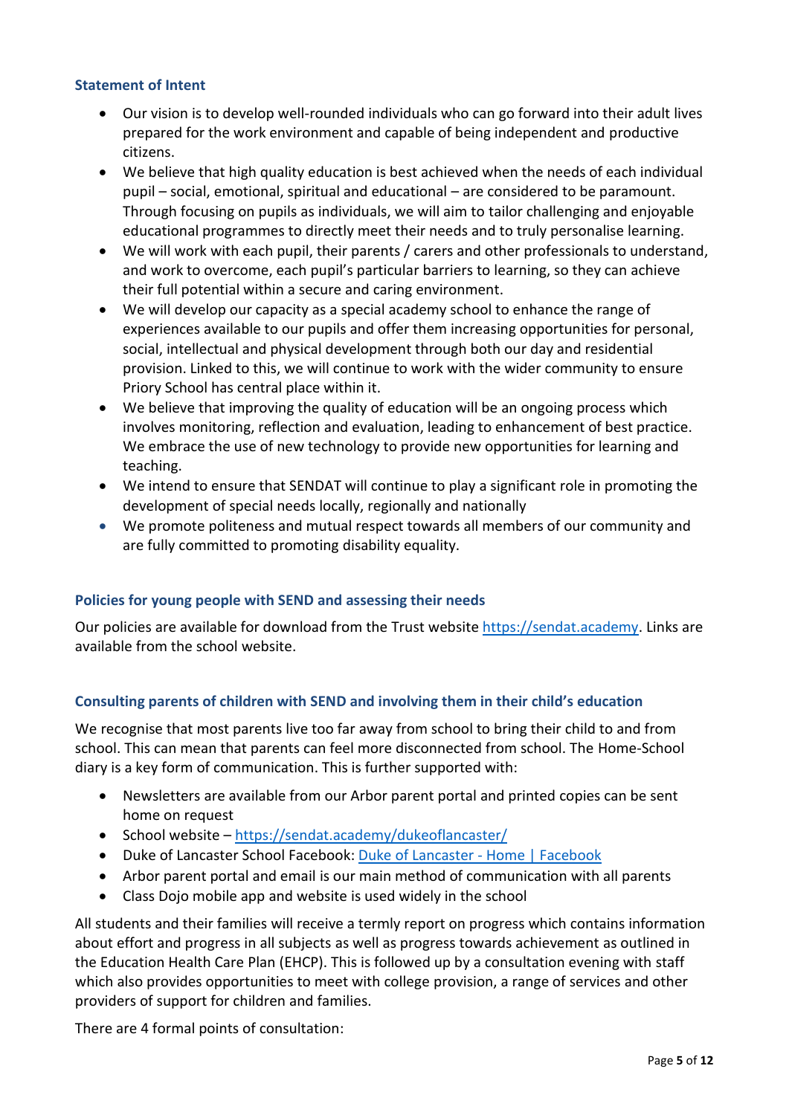#### <span id="page-4-0"></span>**Statement of Intent**

- Our vision is to develop well-rounded individuals who can go forward into their adult lives prepared for the work environment and capable of being independent and productive citizens.
- We believe that high quality education is best achieved when the needs of each individual pupil – social, emotional, spiritual and educational – are considered to be paramount. Through focusing on pupils as individuals, we will aim to tailor challenging and enjoyable educational programmes to directly meet their needs and to truly personalise learning.
- We will work with each pupil, their parents / carers and other professionals to understand, and work to overcome, each pupil's particular barriers to learning, so they can achieve their full potential within a secure and caring environment.
- We will develop our capacity as a special academy school to enhance the range of experiences available to our pupils and offer them increasing opportunities for personal, social, intellectual and physical development through both our day and residential provision. Linked to this, we will continue to work with the wider community to ensure Priory School has central place within it.
- We believe that improving the quality of education will be an ongoing process which involves monitoring, reflection and evaluation, leading to enhancement of best practice. We embrace the use of new technology to provide new opportunities for learning and teaching.
- We intend to ensure that SENDAT will continue to play a significant role in promoting the development of special needs locally, regionally and nationally
- We promote politeness and mutual respect towards all members of our community and are fully committed to promoting disability equality.

#### <span id="page-4-1"></span>**Policies for young people with SEND and assessing their needs**

Our policies are available for download from the Trust website [https://sendat.academy.](https://sendat.academy/) Links are available from the school website.

### <span id="page-4-2"></span>**Consulting parents of children with SEND and involving them in their child's education**

We recognise that most parents live too far away from school to bring their child to and from school. This can mean that parents can feel more disconnected from school. The Home-School diary is a key form of communication. This is further supported with:

- Newsletters are available from our Arbor parent portal and printed copies can be sent home on request
- School website <https://sendat.academy/dukeoflancaster/>
- Duke of Lancaster School Facebook: [Duke of Lancaster -](https://www.facebook.com/sendatdukeoflancaster) Home | Facebook
- Arbor parent portal and email is our main method of communication with all parents
- Class Dojo mobile app and website is used widely in the school

All students and their families will receive a termly report on progress which contains information about effort and progress in all subjects as well as progress towards achievement as outlined in the Education Health Care Plan (EHCP). This is followed up by a consultation evening with staff which also provides opportunities to meet with college provision, a range of services and other providers of support for children and families.

There are 4 formal points of consultation: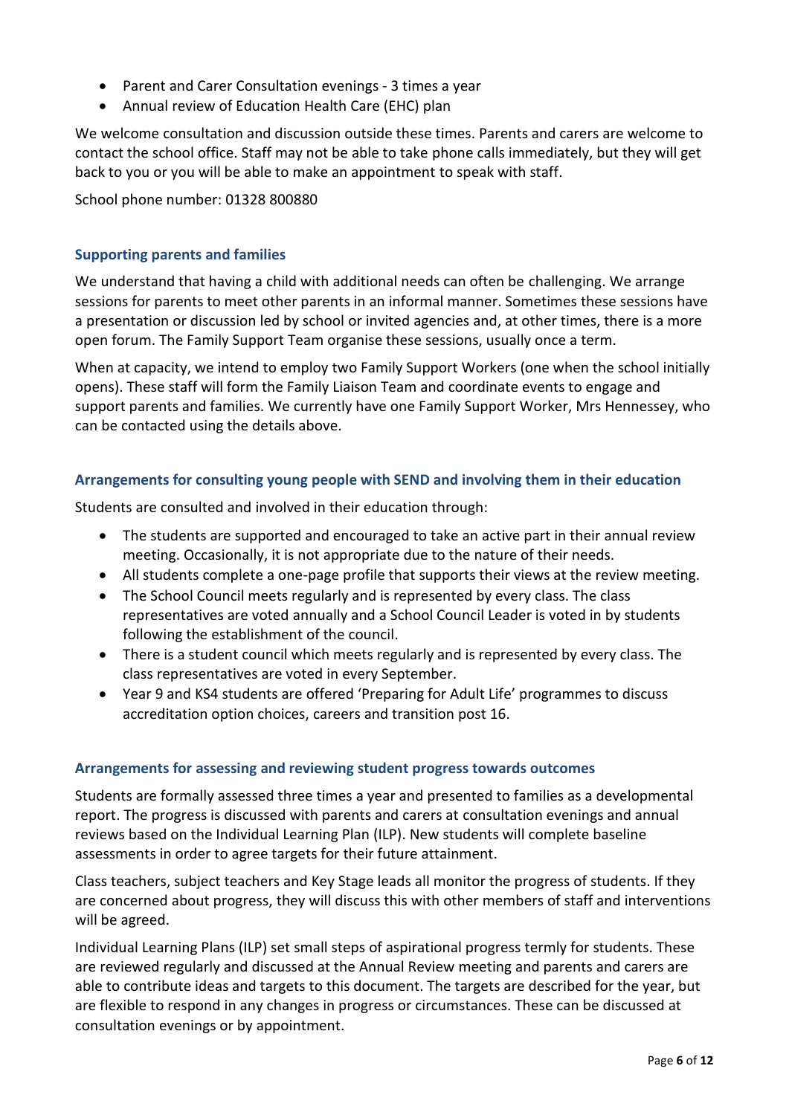- Parent and Carer Consultation evenings 3 times a year
- Annual review of Education Health Care (EHC) plan

We welcome consultation and discussion outside these times. Parents and carers are welcome to contact the school office. Staff may not be able to take phone calls immediately, but they will get back to you or you will be able to make an appointment to speak with staff.

School phone number: 01328 800880

#### <span id="page-5-0"></span>**Supporting parents and families**

We understand that having a child with additional needs can often be challenging. We arrange sessions for parents to meet other parents in an informal manner. Sometimes these sessions have a presentation or discussion led by school or invited agencies and, at other times, there is a more open forum. The Family Support Team organise these sessions, usually once a term.

When at capacity, we intend to employ two Family Support Workers (one when the school initially opens). These staff will form the Family Liaison Team and coordinate events to engage and support parents and families. We currently have one Family Support Worker, Mrs Hennessey, who can be contacted using the details above.

#### <span id="page-5-1"></span>**Arrangements for consulting young people with SEND and involving them in their education**

Students are consulted and involved in their education through:

- The students are supported and encouraged to take an active part in their annual review meeting. Occasionally, it is not appropriate due to the nature of their needs.
- All students complete a one-page profile that supports their views at the review meeting.
- The School Council meets regularly and is represented by every class. The class representatives are voted annually and a School Council Leader is voted in by students following the establishment of the council.
- There is a student council which meets regularly and is represented by every class. The class representatives are voted in every September.
- Year 9 and KS4 students are offered 'Preparing for Adult Life' programmes to discuss accreditation option choices, careers and transition post 16.

#### <span id="page-5-2"></span>**Arrangements for assessing and reviewing student progress towards outcomes**

Students are formally assessed three times a year and presented to families as a developmental report. The progress is discussed with parents and carers at consultation evenings and annual reviews based on the Individual Learning Plan (ILP). New students will complete baseline assessments in order to agree targets for their future attainment.

Class teachers, subject teachers and Key Stage leads all monitor the progress of students. If they are concerned about progress, they will discuss this with other members of staff and interventions will be agreed.

Individual Learning Plans (ILP) set small steps of aspirational progress termly for students. These are reviewed regularly and discussed at the Annual Review meeting and parents and carers are able to contribute ideas and targets to this document. The targets are described for the year, but are flexible to respond in any changes in progress or circumstances. These can be discussed at consultation evenings or by appointment.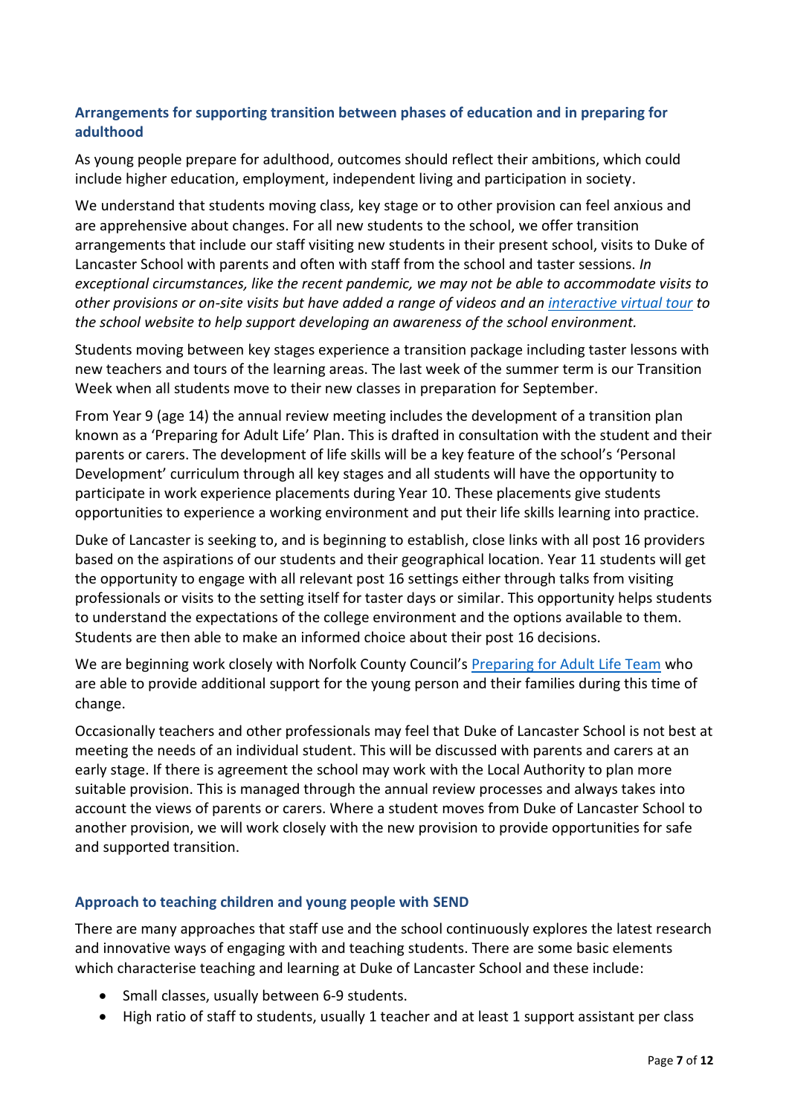## <span id="page-6-0"></span>**Arrangements for supporting transition between phases of education and in preparing for adulthood**

As young people prepare for adulthood, outcomes should reflect their ambitions, which could include higher education, employment, independent living and participation in society.

We understand that students moving class, key stage or to other provision can feel anxious and are apprehensive about changes. For all new students to the school, we offer transition arrangements that include our staff visiting new students in their present school, visits to Duke of Lancaster School with parents and often with staff from the school and taster sessions. *In exceptional circumstances, like the recent pandemic, we may not be able to accommodate visits to other provisions or on-site visits but have added a range of videos and a[n interactive virtual tour](https://sendat.academy/dukeoflancaster/virtual-tour/) to the school website to help support developing an awareness of the school environment.*

Students moving between key stages experience a transition package including taster lessons with new teachers and tours of the learning areas. The last week of the summer term is our Transition Week when all students move to their new classes in preparation for September.

From Year 9 (age 14) the annual review meeting includes the development of a transition plan known as a 'Preparing for Adult Life' Plan. This is drafted in consultation with the student and their parents or carers. The development of life skills will be a key feature of the school's 'Personal Development' curriculum through all key stages and all students will have the opportunity to participate in work experience placements during Year 10. These placements give students opportunities to experience a working environment and put their life skills learning into practice.

Duke of Lancaster is seeking to, and is beginning to establish, close links with all post 16 providers based on the aspirations of our students and their geographical location. Year 11 students will get the opportunity to engage with all relevant post 16 settings either through talks from visiting professionals or visits to the setting itself for taster days or similar. This opportunity helps students to understand the expectations of the college environment and the options available to them. Students are then able to make an informed choice about their post 16 decisions.

We are beginning work closely with Norfolk County Council's [Preparing for Adult Life Team](https://www.norfolk.gov.uk/children-and-families/send-local-offer/preparing-for-adult-life) who are able to provide additional support for the young person and their families during this time of change.

Occasionally teachers and other professionals may feel that Duke of Lancaster School is not best at meeting the needs of an individual student. This will be discussed with parents and carers at an early stage. If there is agreement the school may work with the Local Authority to plan more suitable provision. This is managed through the annual review processes and always takes into account the views of parents or carers. Where a student moves from Duke of Lancaster School to another provision, we will work closely with the new provision to provide opportunities for safe and supported transition.

#### <span id="page-6-1"></span>**Approach to teaching children and young people with SEND**

There are many approaches that staff use and the school continuously explores the latest research and innovative ways of engaging with and teaching students. There are some basic elements which characterise teaching and learning at Duke of Lancaster School and these include:

- Small classes, usually between 6-9 students.
- High ratio of staff to students, usually 1 teacher and at least 1 support assistant per class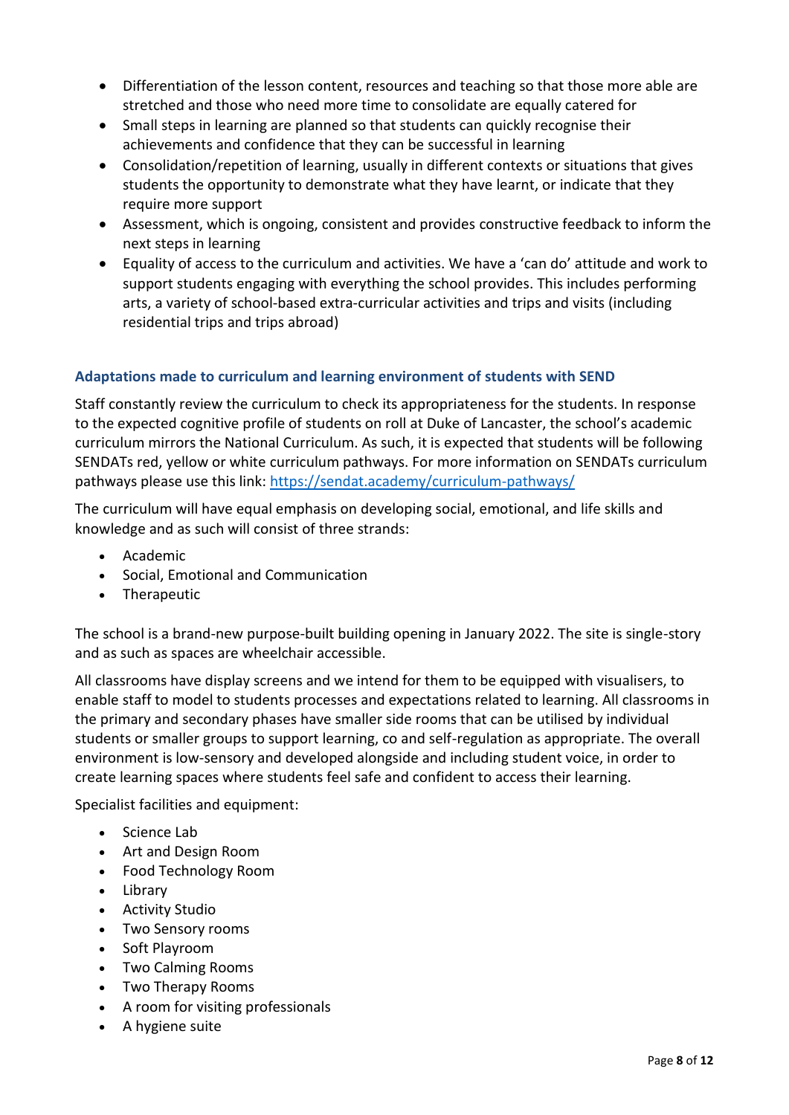- Differentiation of the lesson content, resources and teaching so that those more able are stretched and those who need more time to consolidate are equally catered for
- Small steps in learning are planned so that students can quickly recognise their achievements and confidence that they can be successful in learning
- Consolidation/repetition of learning, usually in different contexts or situations that gives students the opportunity to demonstrate what they have learnt, or indicate that they require more support
- Assessment, which is ongoing, consistent and provides constructive feedback to inform the next steps in learning
- Equality of access to the curriculum and activities. We have a 'can do' attitude and work to support students engaging with everything the school provides. This includes performing arts, a variety of school-based extra-curricular activities and trips and visits (including residential trips and trips abroad)

# <span id="page-7-0"></span>**Adaptations made to curriculum and learning environment of students with SEND**

Staff constantly review the curriculum to check its appropriateness for the students. In response to the expected cognitive profile of students on roll at Duke of Lancaster, the school's academic curriculum mirrors the National Curriculum. As such, it is expected that students will be following SENDATs red, yellow or white curriculum pathways. For more information on SENDATs curriculum pathways please use this link:<https://sendat.academy/curriculum-pathways/>

The curriculum will have equal emphasis on developing social, emotional, and life skills and knowledge and as such will consist of three strands:

- Academic
- Social, Emotional and Communication
- Therapeutic

The school is a brand-new purpose-built building opening in January 2022. The site is single-story and as such as spaces are wheelchair accessible.

All classrooms have display screens and we intend for them to be equipped with visualisers, to enable staff to model to students processes and expectations related to learning. All classrooms in the primary and secondary phases have smaller side rooms that can be utilised by individual students or smaller groups to support learning, co and self-regulation as appropriate. The overall environment is low-sensory and developed alongside and including student voice, in order to create learning spaces where students feel safe and confident to access their learning.

Specialist facilities and equipment:

- Science Lab
- Art and Design Room
- Food Technology Room
- Library
- Activity Studio
- Two Sensory rooms
- Soft Playroom
- Two Calming Rooms
- Two Therapy Rooms
- A room for visiting professionals
- A hygiene suite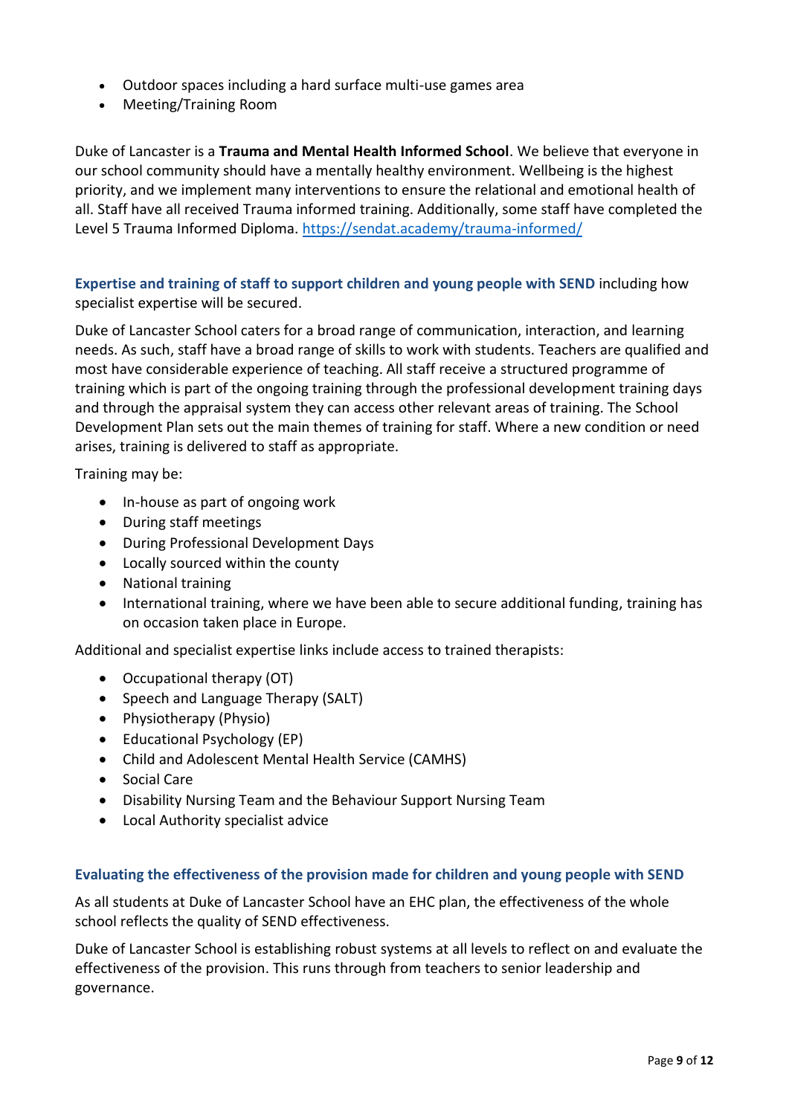- Outdoor spaces including a hard surface multi-use games area
- Meeting/Training Room

Duke of Lancaster is a **Trauma and Mental Health Informed School**. We believe that everyone in our school community should have a mentally healthy environment. Wellbeing is the highest priority, and we implement many interventions to ensure the relational and emotional health of all. Staff have all received Trauma informed training. Additionally, some staff have completed the Level 5 Trauma Informed Diploma.<https://sendat.academy/trauma-informed/>

<span id="page-8-0"></span>**Expertise and training of staff to support children and young people with SEND** including how specialist expertise will be secured.

Duke of Lancaster School caters for a broad range of communication, interaction, and learning needs. As such, staff have a broad range of skills to work with students. Teachers are qualified and most have considerable experience of teaching. All staff receive a structured programme of training which is part of the ongoing training through the professional development training days and through the appraisal system they can access other relevant areas of training. The School Development Plan sets out the main themes of training for staff. Where a new condition or need arises, training is delivered to staff as appropriate.

Training may be:

- In-house as part of ongoing work
- During staff meetings
- During Professional Development Days
- Locally sourced within the county
- National training
- International training, where we have been able to secure additional funding, training has on occasion taken place in Europe.

Additional and specialist expertise links include access to trained therapists:

- Occupational therapy (OT)
- Speech and Language Therapy (SALT)
- Physiotherapy (Physio)
- Educational Psychology (EP)
- Child and Adolescent Mental Health Service (CAMHS)
- Social Care
- Disability Nursing Team and the Behaviour Support Nursing Team
- Local Authority specialist advice

#### <span id="page-8-1"></span>**Evaluating the effectiveness of the provision made for children and young people with SEND**

As all students at Duke of Lancaster School have an EHC plan, the effectiveness of the whole school reflects the quality of SEND effectiveness.

Duke of Lancaster School is establishing robust systems at all levels to reflect on and evaluate the effectiveness of the provision. This runs through from teachers to senior leadership and governance.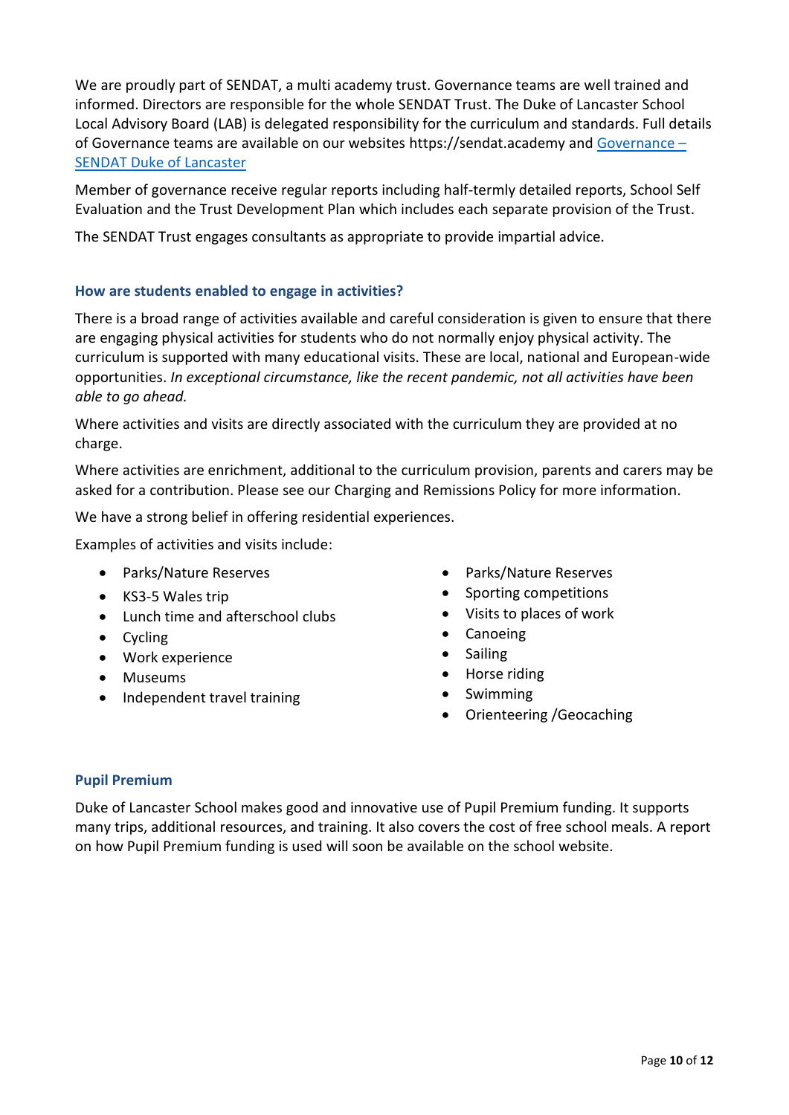We are proudly part of SENDAT, a multi academy trust. Governance teams are well trained and informed. Directors are responsible for the whole SENDAT Trust. The Duke of Lancaster School Local Advisory Board (LAB) is delegated responsibility for the curriculum and standards. Full details of Governance teams are available on our websites https://sendat.academy and [Governance](https://sendat.academy/dukeoflancaster/governance/) – [SENDAT Duke of Lancaster](https://sendat.academy/dukeoflancaster/governance/)

Member of governance receive regular reports including half-termly detailed reports, School Self Evaluation and the Trust Development Plan which includes each separate provision of the Trust.

The SENDAT Trust engages consultants as appropriate to provide impartial advice.

#### <span id="page-9-0"></span>**How are students enabled to engage in activities?**

There is a broad range of activities available and careful consideration is given to ensure that there are engaging physical activities for students who do not normally enjoy physical activity. The curriculum is supported with many educational visits. These are local, national and European-wide opportunities. *In exceptional circumstance, like the recent pandemic, not all activities have been able to go ahead.*

Where activities and visits are directly associated with the curriculum they are provided at no charge.

Where activities are enrichment, additional to the curriculum provision, parents and carers may be asked for a contribution. Please see our Charging and Remissions Policy for more information.

We have a strong belief in offering residential experiences.

Examples of activities and visits include:

- Parks/Nature Reserves
- KS3-5 Wales trip
- Lunch time and afterschool clubs
- Cycling
- Work experience
- Museums
- Independent travel training
- Parks/Nature Reserves
- Sporting competitions
- Visits to places of work
- Canoeing
- Sailing
- Horse riding
- Swimming
- Orienteering /Geocaching

#### <span id="page-9-1"></span>**Pupil Premium**

Duke of Lancaster School makes good and innovative use of Pupil Premium funding. It supports many trips, additional resources, and training. It also covers the cost of free school meals. A report on how Pupil Premium funding is used will soon be available on the school website.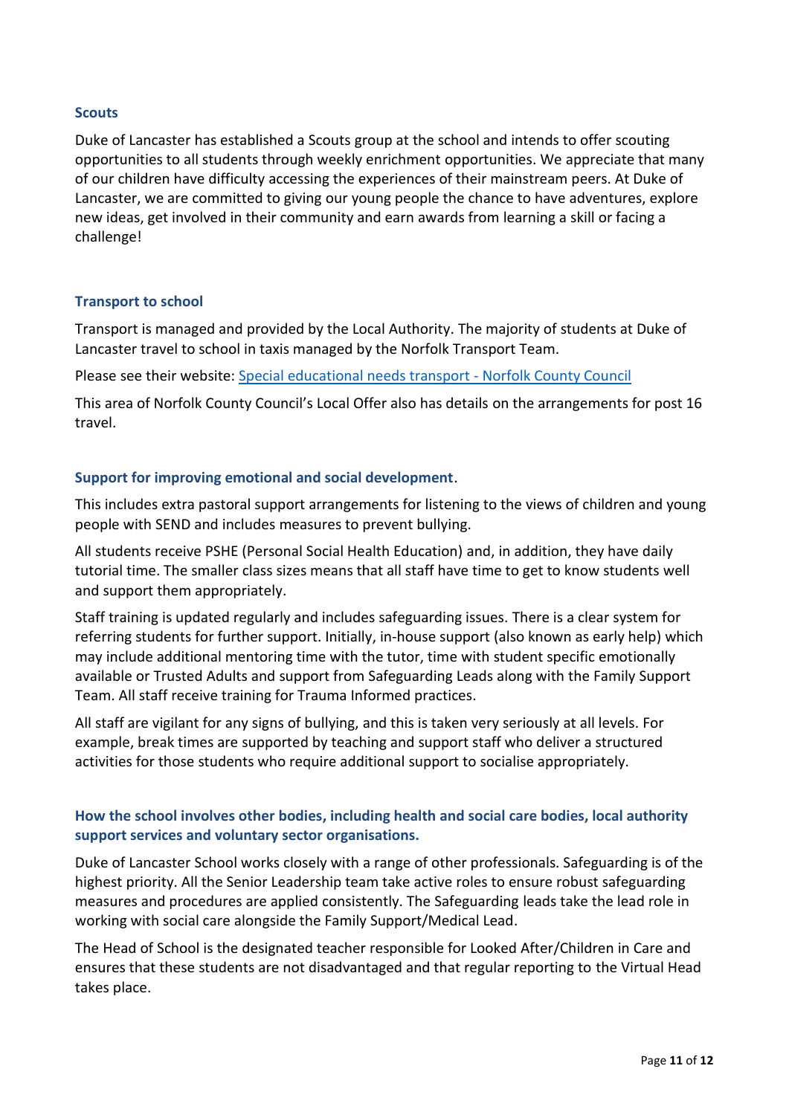#### <span id="page-10-0"></span>**Scouts**

Duke of Lancaster has established a Scouts group at the school and intends to offer scouting opportunities to all students through weekly enrichment opportunities. We appreciate that many of our children have difficulty accessing the experiences of their mainstream peers. At Duke of Lancaster, we are committed to giving our young people the chance to have adventures, explore new ideas, get involved in their community and earn awards from learning a skill or facing a challenge!

#### <span id="page-10-1"></span>**Transport to school**

Transport is managed and provided by the Local Authority. The majority of students at Duke of Lancaster travel to school in taxis managed by the Norfolk Transport Team.

Please see their website: [Special educational needs transport -](https://www.norfolk.gov.uk/education-and-learning/school-and-college-transport/special-educational-needs-transport) Norfolk County Council

This area of Norfolk County Council's Local Offer also has details on the arrangements for post 16 travel.

#### <span id="page-10-2"></span>**Support for improving emotional and social development**.

This includes extra pastoral support arrangements for listening to the views of children and young people with SEND and includes measures to prevent bullying.

All students receive PSHE (Personal Social Health Education) and, in addition, they have daily tutorial time. The smaller class sizes means that all staff have time to get to know students well and support them appropriately.

Staff training is updated regularly and includes safeguarding issues. There is a clear system for referring students for further support. Initially, in-house support (also known as early help) which may include additional mentoring time with the tutor, time with student specific emotionally available or Trusted Adults and support from Safeguarding Leads along with the Family Support Team. All staff receive training for Trauma Informed practices.

All staff are vigilant for any signs of bullying, and this is taken very seriously at all levels. For example, break times are supported by teaching and support staff who deliver a structured activities for those students who require additional support to socialise appropriately.

#### <span id="page-10-3"></span>**How the school involves other bodies, including health and social care bodies, local authority support services and voluntary sector organisations.**

Duke of Lancaster School works closely with a range of other professionals. Safeguarding is of the highest priority. All the Senior Leadership team take active roles to ensure robust safeguarding measures and procedures are applied consistently. The Safeguarding leads take the lead role in working with social care alongside the Family Support/Medical Lead.

The Head of School is the designated teacher responsible for Looked After/Children in Care and ensures that these students are not disadvantaged and that regular reporting to the Virtual Head takes place.